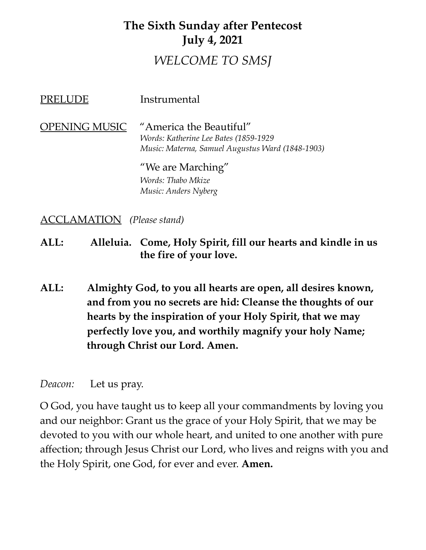# **The Sixth Sunday after Pentecost July 4, 2021** *WELCOME TO SMSJ*

| PRELUDE              | Instrumental                                                                                                          |
|----------------------|-----------------------------------------------------------------------------------------------------------------------|
| <b>OPENING MUSIC</b> | "America the Beautiful"<br>Words: Katherine Lee Bates (1859-1929)<br>Music: Materna, Samuel Augustus Ward (1848-1903) |
|                      | "We are Marching"                                                                                                     |
|                      | <i><b>Words: Thabo Mkize</b></i>                                                                                      |
|                      | Music: Anders Nyberg                                                                                                  |

ACCLAMATION *(Please stand)*

**ALL: Alleluia. Come, Holy Spirit, fill our hearts and kindle in us the fire of your love.**

**ALL: Almighty God, to you all hearts are open, all desires known, and from you no secrets are hid: Cleanse the thoughts of our hearts by the inspiration of your Holy Spirit, that we may perfectly love you, and worthily magnify your holy Name; through Christ our Lord. Amen.**

*Deacon:* Let us pray.

O God, you have taught us to keep all your commandments by loving you and our neighbor: Grant us the grace of your Holy Spirit, that we may be devoted to you with our whole heart, and united to one another with pure affection; through Jesus Christ our Lord, who lives and reigns with you and the Holy Spirit, one God, for ever and ever. **Amen.**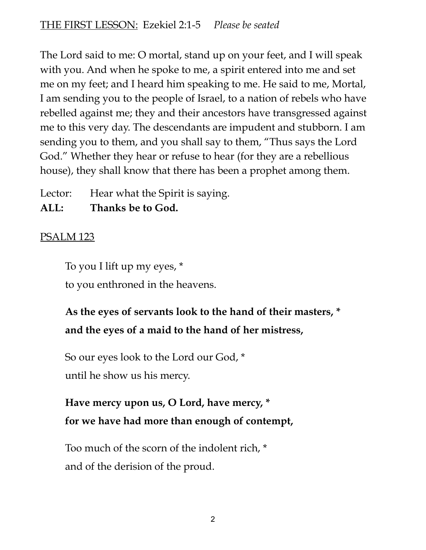The Lord said to me: O mortal, stand up on your feet, and I will speak with you. And when he spoke to me, a spirit entered into me and set me on my feet; and I heard him speaking to me. He said to me, Mortal, I am sending you to the people of Israel, to a nation of rebels who have rebelled against me; they and their ancestors have transgressed against me to this very day. The descendants are impudent and stubborn. I am sending you to them, and you shall say to them, "Thus says the Lord God." Whether they hear or refuse to hear (for they are a rebellious house), they shall know that there has been a prophet among them.

Lector: Hear what the Spirit is saying.

#### **ALL: Thanks be to God.**

## PSALM 123

To you I lift up my eyes, \*

to you enthroned in the heavens.

# **As the eyes of servants look to the hand of their masters, \* and the eyes of a maid to the hand of her mistress,**

So our eyes look to the Lord our God, \* until he show us his mercy.

# **Have mercy upon us, O Lord, have mercy, \* for we have had more than enough of contempt,**

Too much of the scorn of the indolent rich, \* and of the derision of the proud.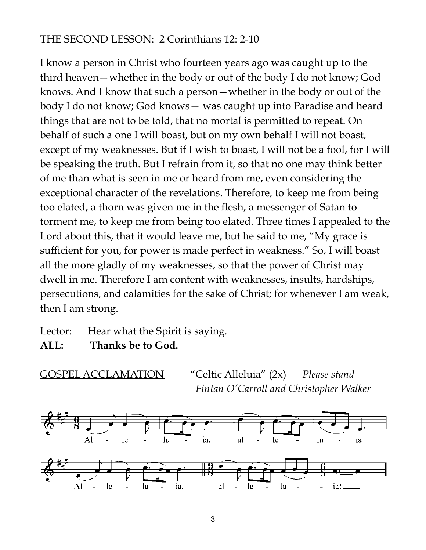#### THE SECOND LESSON: 2 Corinthians 12: 2-10

I know a person in Christ who fourteen years ago was caught up to the third heaven—whether in the body or out of the body I do not know; God knows. And I know that such a person—whether in the body or out of the body I do not know; God knows— was caught up into Paradise and heard things that are not to be told, that no mortal is permitted to repeat. On behalf of such a one I will boast, but on my own behalf I will not boast, except of my weaknesses. But if I wish to boast, I will not be a fool, for I will be speaking the truth. But I refrain from it, so that no one may think better of me than what is seen in me or heard from me, even considering the exceptional character of the revelations. Therefore, to keep me from being too elated, a thorn was given me in the flesh, a messenger of Satan to torment me, to keep me from being too elated. Three times I appealed to the Lord about this, that it would leave me, but he said to me, "My grace is sufficient for you, for power is made perfect in weakness." So, I will boast all the more gladly of my weaknesses, so that the power of Christ may dwell in me. Therefore I am content with weaknesses, insults, hardships, persecutions, and calamities for the sake of Christ; for whenever I am weak, then I am strong.

Lector: Hear what the Spirit is saying.

**ALL: Thanks be to God.**

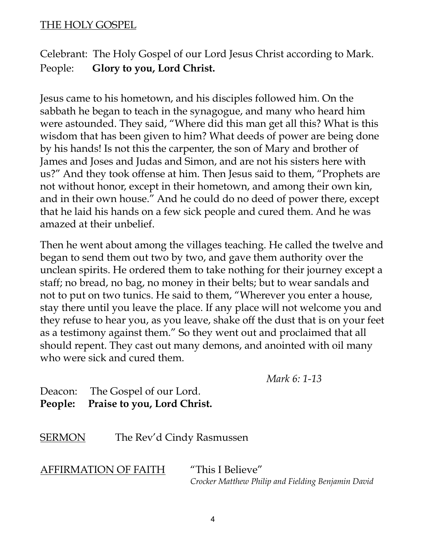#### THE HOLY GOSPEL

Celebrant: The Holy Gospel of our Lord Jesus Christ according to Mark. People: **Glory to you, Lord Christ.**

Jesus came to his hometown, and his disciples followed him. On the sabbath he began to teach in the synagogue, and many who heard him were astounded. They said, "Where did this man get all this? What is this wisdom that has been given to him? What deeds of power are being done by his hands! Is not this the carpenter, the son of Mary and brother of James and Joses and Judas and Simon, and are not his sisters here with us?" And they took offense at him. Then Jesus said to them, "Prophets are not without honor, except in their hometown, and among their own kin, and in their own house." And he could do no deed of power there, except that he laid his hands on a few sick people and cured them. And he was amazed at their unbelief.

Then he went about among the villages teaching. He called the twelve and began to send them out two by two, and gave them authority over the unclean spirits. He ordered them to take nothing for their journey except a staff; no bread, no bag, no money in their belts; but to wear sandals and not to put on two tunics. He said to them, "Wherever you enter a house, stay there until you leave the place. If any place will not welcome you and they refuse to hear you, as you leave, shake off the dust that is on your feet as a testimony against them." So they went out and proclaimed that all should repent. They cast out many demons, and anointed with oil many who were sick and cured them.

*Mark 6: 1-13*

Deacon: The Gospel of our Lord. **People: Praise to you, Lord Christ.**

**SERMON** The Rev'd Cindy Rasmussen

AFFIRMATION OF FAITH "This I Believe"

*Crocker Matthew Philip and Fielding Benjamin David*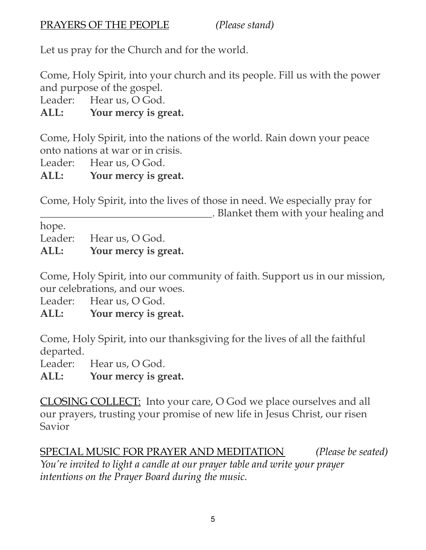Let us pray for the Church and for the world.

Come, Holy Spirit, into your church and its people. Fill us with the power and purpose of the gospel.

Leader: Hear us, O God.

## **ALL: Your mercy is great.**

Come, Holy Spirit, into the nations of the world. Rain down your peace onto nations at war or in crisis.

Leader: Hear us, O God.

**ALL: Your mercy is great.**

Come, Holy Spirit, into the lives of those in need. We especially pray for \_\_\_\_\_\_\_\_\_\_\_\_\_\_\_\_\_\_\_\_\_\_\_\_\_\_\_\_\_\_\_\_\_. Blanket them with your healing and

hope.

Leader: Hear us, O God.

**ALL: Your mercy is great.**

Come, Holy Spirit, into our community of faith. Support us in our mission, our celebrations, and our woes.

Leader: Hear us, O God.

**ALL: Your mercy is great.**

Come, Holy Spirit, into our thanksgiving for the lives of all the faithful departed.

Leader: Hear us, O God.

**ALL: Your mercy is great.**

CLOSING COLLECT: Into your care, O God we place ourselves and all our prayers, trusting your promise of new life in Jesus Christ, our risen Savior

SPECIAL MUSIC FOR PRAYER AND MEDITATION *(Please be seated) You're invited to light a candle at our prayer table and write your prayer intentions on the Prayer Board during the music.*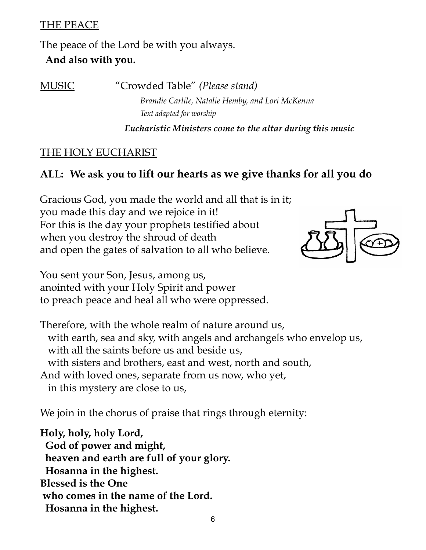#### THE PEACE

The peace of the Lord be with you always. **And also with you.**

MUSIC "Crowded Table" *(Please stand) Brandie Carlile, Natalie Hemby, and Lori McKenna Text adapted for worship*

*Eucharistic Ministers come to the altar during this music*

#### THE HOLY EUCHARIST

#### **ALL: We ask you to lift our hearts as we give thanks for all you do**

Gracious God, you made the world and all that is in it; you made this day and we rejoice in it! For this is the day your prophets testified about when you destroy the shroud of death and open the gates of salvation to all who believe.



You sent your Son, Jesus, among us, anointed with your Holy Spirit and power to preach peace and heal all who were oppressed.

Therefore, with the whole realm of nature around us, with earth, sea and sky, with angels and archangels who envelop us, with all the saints before us and beside us, with sisters and brothers, east and west, north and south, And with loved ones, separate from us now, who yet, in this mystery are close to us,

We join in the chorus of praise that rings through eternity:

**Holy, holy, holy Lord, God of power and might, heaven and earth are full of your glory. Hosanna in the highest. Blessed is the One who comes in the name of the Lord. Hosanna in the highest.**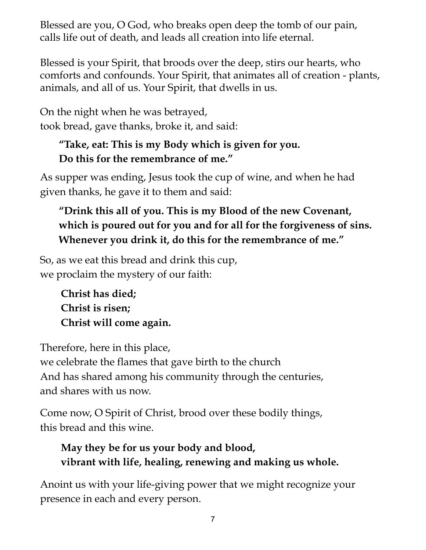Blessed are you, O God, who breaks open deep the tomb of our pain, calls life out of death, and leads all creation into life eternal.

Blessed is your Spirit, that broods over the deep, stirs our hearts, who comforts and confounds. Your Spirit, that animates all of creation - plants, animals, and all of us. Your Spirit, that dwells in us.

On the night when he was betrayed, took bread, gave thanks, broke it, and said:

# **"Take, eat: This is my Body which is given for you. Do this for the remembrance of me."**

As supper was ending, Jesus took the cup of wine, and when he had given thanks, he gave it to them and said:

# **"Drink this all of you. This is my Blood of the new Covenant, which is poured out for you and for all for the forgiveness of sins. Whenever you drink it, do this for the remembrance of me."**

So, as we eat this bread and drink this cup, we proclaim the mystery of our faith:

> **Christ has died; Christ is risen; Christ will come again.**

Therefore, here in this place,

we celebrate the flames that gave birth to the church And has shared among his community through the centuries, and shares with us now.

Come now, O Spirit of Christ, brood over these bodily things, this bread and this wine.

# **May they be for us your body and blood, vibrant with life, healing, renewing and making us whole.**

Anoint us with your life-giving power that we might recognize your presence in each and every person.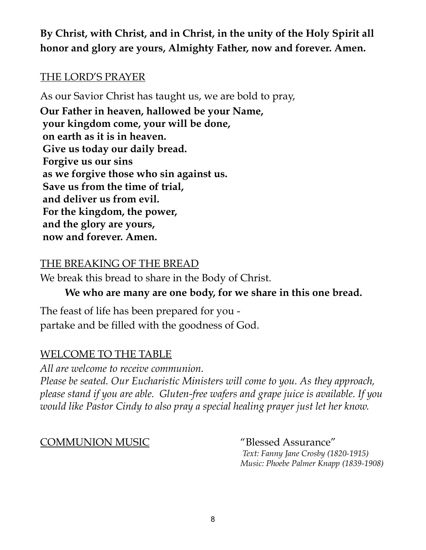**By Christ, with Christ, and in Christ, in the unity of the Holy Spirit all honor and glory are yours, Almighty Father, now and forever. Amen.**

#### THE LORD'S PRAYER

As our Savior Christ has taught us, we are bold to pray,

**Our Father in heaven, hallowed be your Name, your kingdom come, your will be done, on earth as it is in heaven. Give us today our daily bread. Forgive us our sins as we forgive those who sin against us. Save us from the time of trial, and deliver us from evil. For the kingdom, the power, and the glory are yours, now and forever. Amen.**

#### THE BREAKING OF THE BREAD

We break this bread to share in the Body of Christ.

#### **We who are many are one body, for we share in this one bread.**

The feast of life has been prepared for you partake and be filled with the goodness of God.

#### WELCOME TO THE TABLE

*All are welcome to receive communion. Please be seated. Our Eucharistic Ministers will come to you. As they approach, please stand if you are able. Gluten-free wafers and grape juice is available. If you would like Pastor Cindy to also pray a special healing prayer just let her know.*

COMMUNION MUSIC "Blessed Assurance"

*Text: Fanny Jane Crosby (1820-1915) Music: Phoebe Palmer Knapp (1839-1908)*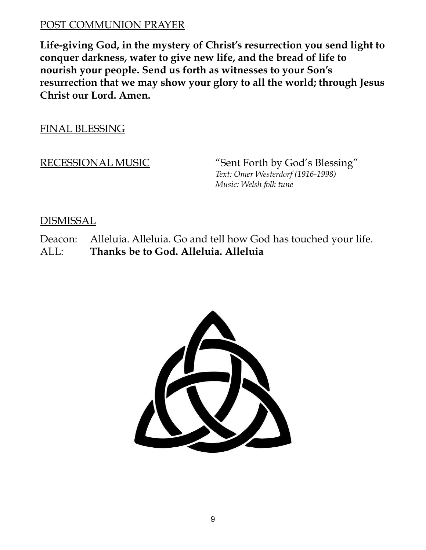#### POST COMMUNION PRAYER

**Life-giving God, in the mystery of Christ's resurrection you send light to conquer darkness, water to give new life, and the bread of life to nourish your people. Send us forth as witnesses to your Son's resurrection that we may show your glory to all the world; through Jesus Christ our Lord. Amen.**

FINAL BLESSING

RECESSIONAL MUSIC "Sent Forth by God's Blessing" *Text: Omer Westerdorf (1916-1998) Music: Welsh folk tune*

DISMISSAL

Deacon: Alleluia. Alleluia. Go and tell how God has touched your life. ALL: **Thanks be to God. Alleluia. Alleluia**

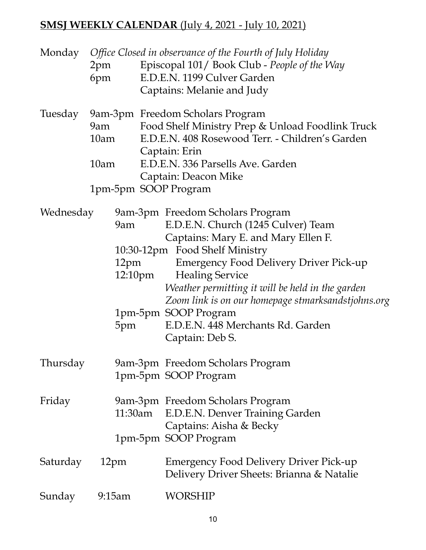# **SMSJ WEEKLY CALENDAR** (July 4, 2021 - July 10, 2021)

|           | 2pm<br>6pm               |                   | Monday Office Closed in observance of the Fourth of July Holiday<br>Episcopal 101/ Book Club - People of the Way<br>E.D.E.N. 1199 Culver Garden<br>Captains: Melanie and Judy                                                                                                                                                                                                                                        |
|-----------|--------------------------|-------------------|----------------------------------------------------------------------------------------------------------------------------------------------------------------------------------------------------------------------------------------------------------------------------------------------------------------------------------------------------------------------------------------------------------------------|
| Tuesday   | 10am<br>10 <sub>am</sub> |                   | 9am-3pm Freedom Scholars Program<br>9am Food Shelf Ministry Prep & Unload Foodlink Truck<br>E.D.E.N. 408 Rosewood Terr. - Children's Garden<br>Captain: Erin<br>E.D.E.N. 336 Parsells Ave. Garden<br>Captain: Deacon Mike<br>1pm-5pm SOOP Program                                                                                                                                                                    |
| Wednesday | 9am<br>12pm<br>5pm       | $12:10 \text{pm}$ | 9am-3pm Freedom Scholars Program<br>E.D.E.N. Church (1245 Culver) Team<br>Captains: Mary E. and Mary Ellen F.<br>10:30-12pm Food Shelf Ministry<br><b>Emergency Food Delivery Driver Pick-up</b><br><b>Healing Service</b><br>Weather permitting it will be held in the garden<br>Zoom link is on our homepage stmarksandstjohns.org<br>1pm-5pm SOOP Program<br>E.D.E.N. 448 Merchants Rd. Garden<br>Captain: Deb S. |
| Thursday  |                          |                   | 9am-3pm Freedom Scholars Program<br>1pm-5pm SOOP Program                                                                                                                                                                                                                                                                                                                                                             |
| Friday    | 11:30am                  |                   | 9am-3pm Freedom Scholars Program<br>E.D.E.N. Denver Training Garden<br>Captains: Aisha & Becky<br>1pm-5pm SOOP Program                                                                                                                                                                                                                                                                                               |
| Saturday  | 12pm                     |                   | Emergency Food Delivery Driver Pick-up<br>Delivery Driver Sheets: Brianna & Natalie                                                                                                                                                                                                                                                                                                                                  |
| Sunday    | 9:15am                   |                   | <b>WORSHIP</b>                                                                                                                                                                                                                                                                                                                                                                                                       |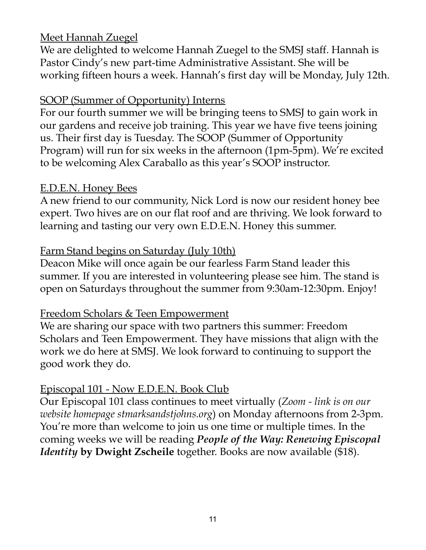#### Meet Hannah Zuegel

We are delighted to welcome Hannah Zuegel to the SMSJ staff. Hannah is Pastor Cindy's new part-time Administrative Assistant. She will be working fifteen hours a week. Hannah's first day will be Monday, July 12th.

#### SOOP (Summer of Opportunity) Interns

For our fourth summer we will be bringing teens to SMSJ to gain work in our gardens and receive job training. This year we have five teens joining us. Their first day is Tuesday. The SOOP (Summer of Opportunity Program) will run for six weeks in the afternoon (1pm-5pm). We're excited to be welcoming Alex Caraballo as this year's SOOP instructor.

#### E.D.E.N. Honey Bees

A new friend to our community, Nick Lord is now our resident honey bee expert. Two hives are on our flat roof and are thriving. We look forward to learning and tasting our very own E.D.E.N. Honey this summer.

#### Farm Stand begins on Saturday (July 10th)

Deacon Mike will once again be our fearless Farm Stand leader this summer. If you are interested in volunteering please see him. The stand is open on Saturdays throughout the summer from 9:30am-12:30pm. Enjoy!

#### Freedom Scholars & Teen Empowerment

We are sharing our space with two partners this summer: Freedom Scholars and Teen Empowerment. They have missions that align with the work we do here at SMSJ. We look forward to continuing to support the good work they do.

#### Episcopal 101 - Now E.D.E.N. Book Club

Our Episcopal 101 class continues to meet virtually (*Zoom - link is on our website homepage stmarksandstjohns.org*) on Monday afternoons from 2-3pm. You're more than welcome to join us one time or multiple times. In the coming weeks we will be reading *People of the Way: Renewing Episcopal Identity* **by Dwight Zscheile** together. Books are now available (\$18).